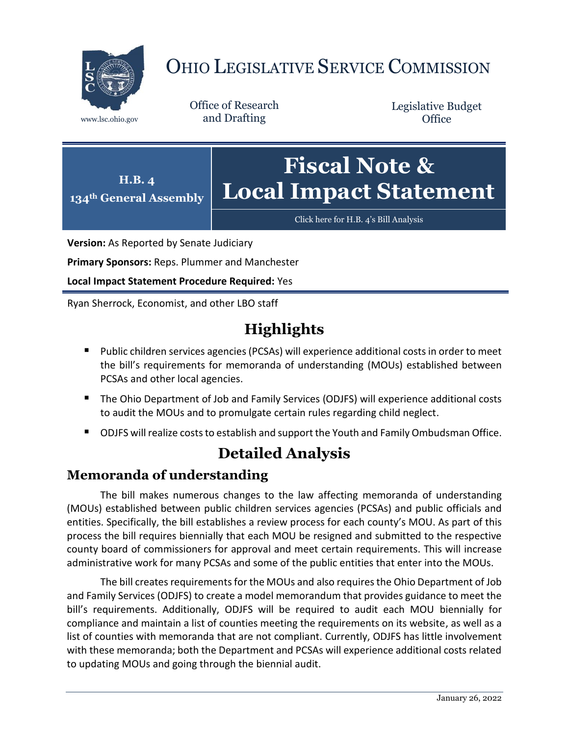

# OHIO LEGISLATIVE SERVICE COMMISSION

Office of Research www.lsc.ohio.gov and Drafting

Legislative Budget **Office** 



[Click here for H.B. 4](https://www.legislature.ohio.gov/legislation/legislation-documents?id=GA134-HB-4)'s Bill Analysis

**Version:** As Reported by Senate Judiciary

**Primary Sponsors:** Reps. Plummer and Manchester

**Local Impact Statement Procedure Required:** Yes

Ryan Sherrock, Economist, and other LBO staff

## **Highlights**

- Public children services agencies (PCSAs) will experience additional costs in order to meet the bill's requirements for memoranda of understanding (MOUs) established between PCSAs and other local agencies.
- The Ohio Department of Job and Family Services (ODJFS) will experience additional costs to audit the MOUs and to promulgate certain rules regarding child neglect.
- ODJFS will realize costs to establish and support the Youth and Family Ombudsman Office.

### **Detailed Analysis**

#### **Memoranda of understanding**

The bill makes numerous changes to the law affecting memoranda of understanding (MOUs) established between public children services agencies (PCSAs) and public officials and entities. Specifically, the bill establishes a review process for each county's MOU. As part of this process the bill requires biennially that each MOU be resigned and submitted to the respective county board of commissioners for approval and meet certain requirements. This will increase administrative work for many PCSAs and some of the public entities that enter into the MOUs.

The bill creates requirements for the MOUs and also requires the Ohio Department of Job and Family Services (ODJFS) to create a model memorandum that provides guidance to meet the bill's requirements. Additionally, ODJFS will be required to audit each MOU biennially for compliance and maintain a list of counties meeting the requirements on its website, as well as a list of counties with memoranda that are not compliant. Currently, ODJFS has little involvement with these memoranda; both the Department and PCSAs will experience additional costs related to updating MOUs and going through the biennial audit.